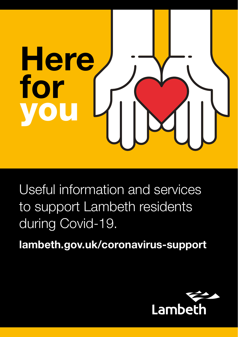

Useful information and services to support Lambeth residents during Covid-19.

lambeth.gov.uk/coronavirus-support

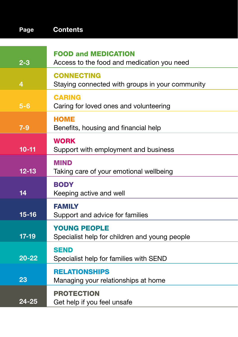| Page           | <b>Contents</b>                                                      |
|----------------|----------------------------------------------------------------------|
|                | <b>FOOD and MEDICATION</b>                                           |
| $2 - 3$        | Access to the food and medication you need                           |
| $\overline{4}$ | <b>CONNECTING</b><br>Staying connected with groups in your community |
| $5-6$          | <b>CARING</b><br>Caring for loved ones and volunteering              |
| $7-9$          | <b>HOME</b><br>Benefits, housing and financial help                  |
| $10 - 11$      | <b>WORK</b><br>Support with employment and business                  |
| $12 - 13$      | <b>MIND</b><br>Taking care of your emotional wellbeing               |
| 14             | <b>BODY</b><br>Keeping active and well                               |
| $15 - 16$      | <b>FAMILY</b><br>Support and advice for families                     |
| $17-19$        | <b>YOUNG PEOPLE</b><br>Specialist help for children and young people |
| $20 - 22$      | <b>SEND</b><br>Specialist help for families with SEND                |
| 23             | <b>RELATIONSHIPS</b><br>Managing your relationships at home          |
| 24-25          | <b>PROTECTION</b><br>Get help if you feel unsafe                     |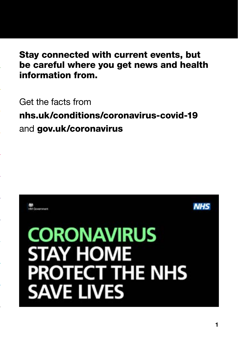# Stay connected with current events, but Stay connected with current events, but be careful where you get news and health be careful where you get news and health information from. information from.

Get the facts from Get the facts from

www.nhs.uk/conditions/coronavirus-covid-19 nhs.uk/conditions/coronavirus-covid-19 and gov.uk/coronavirus

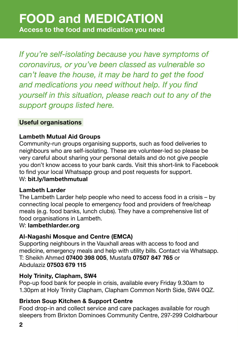*If you're self-isolating because you have symptoms of coronavirus, or you've been classed as vulnerable so can't leave the house, it may be hard to get the food and medications you need without help. If you find yourself in this situation, please reach out to any of the support groups listed here.*

# Useful organisations

# Lambeth Mutual Aid Groups

Community-run groups organising supports, such as food deliveries to neighbours who are self-isolating. These are volunteer-led so please be very careful about sharing your personal details and do not give people you don't know access to your bank cards. Visit this short-link to Facebook to find your local Whatsapp group and post requests for support.

## W: bit.ly/lambethmutual

## Lambeth Larder

The Lambeth Larder help people who need to access food in a crisis – by connecting local people to emergency food and providers of free/cheap meals (e.g. food banks, lunch clubs). They have a comprehensive list of food organisations in Lambeth.

## W: lambethlarder.org

# Al-Nagashi Mosque and Centre (EMCA)

Supporting neighbours in the Vauxhall areas with access to food and medicine, emergency meals and help with utility bills. Contact via Whatsapp. T: Sheikh Ahmed 07400 398 005, Mustafa 07507 847 765 or Abdulaziz 07503 679 115

## Holy Trinity, Clapham, SW4

Pop-up food bank for people in crisis, available every Friday 9.30am to 1.30pm at Holy Trinity Clapham, Clapham Common North Side, SW4 0QZ.

# Brixton Soup Kitchen & Support Centre

Food drop-in and collect service and care packages available for rough sleepers from Brixton Dominoes Community Centre, 297-299 Coldharbour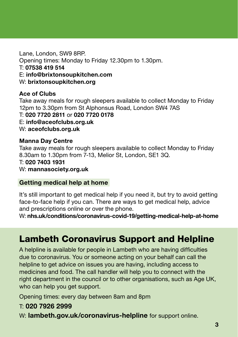Lane, London, SW9 8RP. Opening times: Monday to Friday 12.30pm to 1.30pm. T: 07538 419 514 E: info@brixtonsoupkitchen.com W: brixtonsoupkitchen.org

Ace of Clubs Take away meals for rough sleepers available to collect Monday to Friday 12pm to 3.30pm from St Alphonsus Road, London SW4 7AS T: 020 7720 2811 or 020 7720 0178 E: info@aceofclubs.org.uk W: aceofclubs.org.uk

#### Manna Day Centre

Take away meals for rough sleepers available to collect Monday to Friday 8.30am to 1.30pm from 7-13, Melior St, London, SE1 3Q.

#### T: 020 7403 1931

W: mannasociety.org.uk

#### Getting medical help at home

It's still important to get medical help if you need it, but try to avoid getting face-to-face help if you can. There are ways to get medical help, advice and prescriptions online or over the phone.

W: nhs.uk/conditions/coronavirus-covid-19/getting-medical-help-at-home

# Lambeth Coronavirus Support and Helpline

A helpline is available for people in Lambeth who are having difficulties due to coronavirus. You or someone acting on your behalf can call the helpline to get advice on issues you are having, including access to medicines and food. The call handler will help you to connect with the right department in the council or to other organisations, such as Age UK, who can help you get support.

Opening times: every day between 8am and 8pm

#### T: 020 7926 2999

W: lambeth.gov.uk/coronavirus-helpline for support online.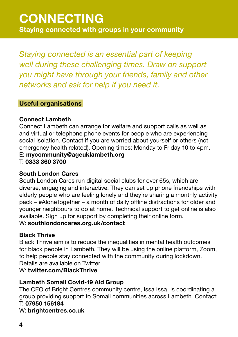# **CONNECTING** Staying connected with groups in your community

*Staying connected is an essential part of keeping well during these challenging times. Draw on support you might have through your friends, family and other networks and ask for help if you need it.* 

## Useful organisations

## Connect Lambeth

Connect Lambeth can arrange for welfare and support calls as well as and virtual or telephone phone events for people who are experiencing social isolation. Contact if you are worried about yourself or others (not emergency health related). Opening times: Monday to Friday 10 to 4pm. E: mycommunity@ageuklambeth.org

T: 0333 360 3700

## South London Cares

South London Cares run digital social clubs for over 65s, which are diverse, engaging and interactive. They can set up phone friendships with elderly people who are feeling lonely and they're sharing a monthly activity pack – #AloneTogether – a month of daily offline distractions for older and younger neighbours to do at home. Technical support to get online is also available. Sign up for support by completing their online form.

## W: southlondoncares.org.uk/contact

## Black Thrive

Black Thrive aim is to reduce the inequalities in mental health outcomes for black people in Lambeth. They will be using the online platform, Zoom, to help people stay connected with the community during lockdown. Details are available on Twitter.

## W: twitter.com/BlackThrive

## Lambeth Somali Covid-19 Aid Group

The CEO of Bright Centres community centre, Issa Issa, is coordinating a group providing support to Somali communities across Lambeth. Contact: T: 07950 156184 07950 156184W: brightcentres.co.uk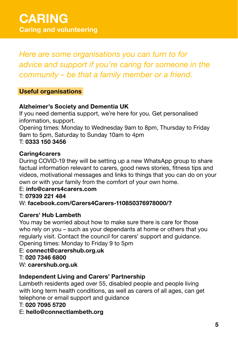*Here are some organisations you can turn to for advice and support if you're caring for someone in the community – be that a family member or a friend.*

# Useful organisations

# Alzheimer's Society and Dementia UK

If you need dementia support, we're here for you. Get personalised information, support.

Opening times: Monday to Wednesday 9am to 8pm, Thursday to Friday 9am to 5pm, Saturday to Sunday 10am to 4pm

# T: 0333 150 3456

## Caring4carers

During COVID-19 they will be setting up a new WhatsApp group to share factual information relevant to carers, good news stories, fitness tips and videos, motivational messages and links to things that you can do on your own or with your family from the comfort of your own home.

## E: info@carers4carers.com

#### T: 07939 221 484

## W: facebook.com/Carers4Carers-110850376978000/?

## Carers' Hub Lambeth

You may be worried about how to make sure there is care for those who rely on you – such as your dependants at home or others that you regularly visit. Contact the council for carers' support and guidance. Opening times: Monday to Friday 9 to 5pm

# E: connect@carershub.org.uk

#### T: 020 7346 6800

W: carershub.org.uk

## Independent Living and Carers' Partnership

Lambeth residents aged over 55, disabled people and people living with long term health conditions, as well as carers of all ages, can get telephone or email support and guidance

#### T: 020 7095 5720

## E: hello@connectlambeth.org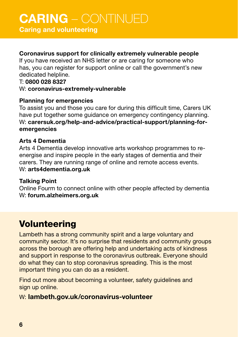# CARING – CONTINUED

Caring and volunteering

# Coronavirus support for clinically extremely vulnerable people

If you have received an NHS letter or are caring for someone who has, you can register for support online or call the government's new dedicated helpline.

### T: 0800 028 8327 W: coronavirus-extremely-vulnerable

## Planning for emergencies

To assist you and those you care for during this difficult time, Carers UK have put together some guidance on emergency contingency planning. W: carersuk.org/help-and-advice/practical-support/planning-foremergencies

#### Arts 4 Dementia

Arts 4 Dementia develop innovative arts workshop programmes to reenergise and inspire people in the early stages of dementia and their carers. They are running range of online and remote access events. W: arts4dementia.org.uk

## Talking Point

Online Fourm to connect online with other people affected by dementia W: forum.alzheimers.org.uk

# Volunteering

Lambeth has a strong community spirit and a large voluntary and community sector. It's no surprise that residents and community groups across the borough are offering help and undertaking acts of kindness and support in response to the coronavirus outbreak. Everyone should do what they can to stop coronavirus spreading. This is the most important thing you can do as a resident.

Find out more about becoming a volunteer, safety guidelines and sign up online.

# W: lambeth.gov.uk/coronavirus-volunteer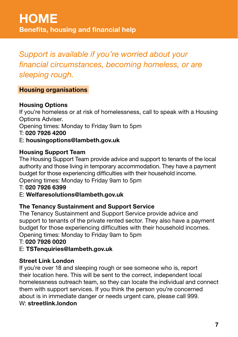*Support is available if you're worried about your financial circumstances, becoming homeless, or are sleeping rough.* 

# Housing organisations

# Housing Options

If you're homeless or at risk of homelessness, call to speak with a Housing Options Adviser.

Opening times: Monday to Friday 9am to 5pm

T: 020 7926 4200

E: housingoptions@lambeth.gov.uk

# Housing Support Team

The Housing Support Team provide advice and support to tenants of the local authority and those living in temporary accommodation. They have a payment budget for those experiencing difficulties with their household income. Opening times: Monday to Friday 9am to 5pm

## T: 020 7926 6399

## E: Welfaresolutions@lambeth.gov.uk

## The Tenancy Sustainment and Support Service

The Tenancy Sustainment and Support Service provide advice and support to tenants of the private rented sector. They also have a payment budget for those experiencing difficulties with their household incomes. Opening times: Monday to Friday 9am to 5pm

## T: 020 7926 0020

## E: TSTenquiries@lambeth.gov.uk

## Street Link London

If you're over 18 and sleeping rough or see someone who is, report their location here. This will be sent to the correct, independent local homelessness outreach team, so they can locate the individual and connect them with support services. If you think the person you're concerned about is in immediate danger or needs urgent care, please call 999. W: streetlink.london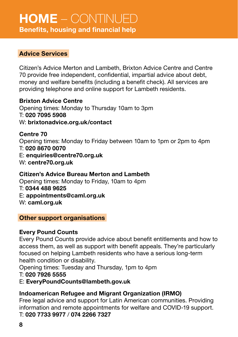# HOME – CONTINUED Benefits, housing and financial help

## Advice Services

Citizen's Advice Merton and Lambeth, Brixton Advice Centre and Centre 70 provide free independent, confidential, impartial advice about debt, money and welfare benefits (including a benefit check). All services are providing telephone and online support for Lambeth residents.

Brixton Advice Centre Opening times: Monday to Thursday 10am to 3pm T: 020 7095 5908 W: brixtonadvice.org.uk/contact

Centre 70 Opening times: Monday to Friday between 10am to 1pm or 2pm to 4pm T: 020 8670 0070 E: enquiries@centre70.org.uk W: centre70.org.uk

Citizen's Advice Bureau Merton and Lambeth Opening times: Monday to Friday, 10am to 4pm T: 0344 488 9625 E: appointments@caml.org.uk W: caml.org.uk

#### Other support organisations

#### Every Pound Counts

Every Pound Counts provide advice about benefit entitlements and how to access them, as well as support with benefit appeals. They're particularly focused on helping Lambeth residents who have a serious long-term health condition or disability.

Opening times: Tuesday and Thursday, 1pm to 4pm

#### T: 020 7926 5555

## E: EveryPoundCounts@lambeth.gov.uk

# Indoamerican Refugee and Migrant Organization (IRMO)

Free legal advice and support for Latin American communities. Providing information and remote appointments for welfare and COVID-19 support. T: 020 7733 9977 / 074 2266 7327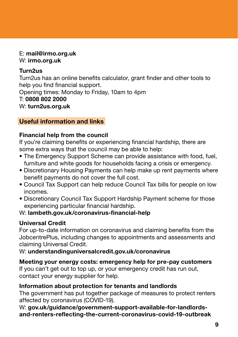### E: mail@irmo.org.uk W: irmo.org.uk

# Turn2us

Turn2us has an online benefits calculator, grant finder and other tools to help you find financial support. Opening times: Monday to Friday, 10am to 4pm T: 0808 802 2000 W: turn2us.org.uk

# Useful information and links

# Financial help from the council

If you're claiming benefits or experiencing financial hardship, there are some extra ways that the council may be able to help:

- The Emergency Support Scheme can provide assistance with food, fuel, furniture and white goods for households facing a crisis or emergency.
- Discretionary Housing Payments can help make up rent payments where benefit payments do not cover the full cost.
- Council Tax Support can help reduce Council Tax bills for people on low incomes.
- Discretionary Council Tax Support Hardship Payment scheme for those experiencing particular financial hardship.

# W: lambeth.gov.uk/coronavirus-financial-help

# Universal Credit

For up-to-date information on coronavirus and claiming benefits from the JobcentrePlus, including changes to appointments and assessments and claiming Universal Credit.

W: understandinguniversalcredit.gov.uk/coronavirus

# Meeting your energy costs: emergency help for pre-pay customers

If you can't get out to top up, or your emergency credit has run out, contact your energy supplier for help.

# Information about protection for tenants and landlords

The government has put together package of measures to protect renters affected by coronavirus (COVID-19).

W: gov.uk/guidance/government-support-available-for-landlordsand-renters-reflecting-the-current-coronavirus-covid-19-outbreak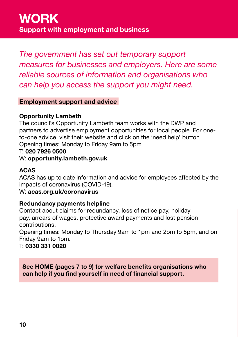*The government has set out temporary support measures for businesses and employers. Here are some reliable sources of information and organisations who can help you access the support you might need.*

## Employment support and advice

#### Opportunity Lambeth

The council's Opportunity Lambeth team works with the DWP and partners to advertise employment opportunities for local people. For oneto-one advice, visit their website and click on the 'need help' button. Opening times: Monday to Friday 9am to 5pm

#### T: 020 7926 0500

#### W: opportunity.lambeth.gov.uk

#### ACAS

ACAS has up to date information and advice for employees affected by the impacts of coronavirus (COVID-19).

#### W: acas.org.uk/coronavirus

#### Redundancy payments helpline

Contact about claims for redundancy, loss of notice pay, holiday pay, arrears of wages, protective award payments and lost pension contributions.

Opening times: Monday to Thursday 9am to 1pm and 2pm to 5pm, and on Friday 9am to 1pm.

T: 0330 331 0020

See HOME (pages 7 to 9) for welfare benefits organisations who can help if you find yourself in need of financial support.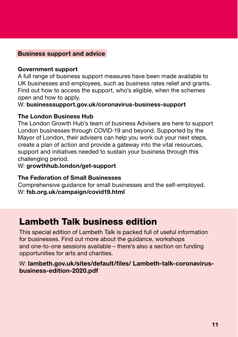#### Business support and advice

#### Government support

A full range of business support measures have been made available to UK businesses and employees, such as business rates relief and grants. Find out how to access the support, who's eligible, when the schemes open and how to apply.

W: businesssupport.gov.uk/coronavirus-business-support

#### The London Business Hub

The London Growth Hub's team of business Advisers are here to support London businesses through COVID-19 and beyond. Supported by the Mayor of London, their advisers can help you work out your next steps, create a plan of action and provide a gateway into the vital resources, support and initiatives needed to sustain your business through this challenging period.

#### W: growthhub.london/get-support

#### The Federation of Small Businesses

Comprehensive guidance for small businesses and the self-employed. W: fsb.org.uk/campaign/covid19.html

# Lambeth Talk business edition

This special edition of Lambeth Talk is packed full of useful information for businesses. Find out more about the guidance, workshops and one-to-one sessions available – there's also a section on funding opportunities for arts and charities.

#### W: lambeth.gov.uk/sites/default/files/ Lambeth-talk-coronaviruscoronavirus-business-edition-2020.pdf business-edition-2020.pdf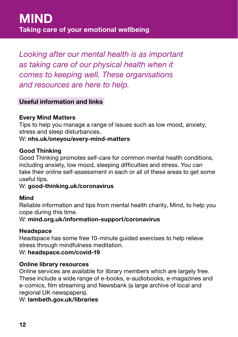*Looking after our mental health is as important as taking care of our physical health when it comes to keeping well. These organisations and resources are here to help.*

# Useful information and links

#### Every Mind Matters

Tips to help you manage a range of issues such as low mood, anxiety, stress and sleep disturbances.

#### W: nhs.uk/oneyou/every-mind-matters

#### Good Thinking

Good Thinking promotes self-care for common mental health conditions, including anxiety, low mood, sleeping difficulties and stress. You can take their online self-assessment in each or all of these areas to get some useful tips.

#### W: good-thinking.uk/coronavirus

#### Mind

Reliable information and tips from mental health charity, Mind, to help you cope during this time.

#### W: mind.org.uk/information-support/coronavirus

#### **Headspace**

Headspace has some free 10-minute guided exercises to help relieve stress through mindfulness meditation.

#### W: headspace.com/covid-19

#### Online library resources

Online services are available for library members which are largely free. These include a wide range of e-books, e-audiobooks, e-magazines and e-comics, film streaming and Newsbank (a large archive of local and regional UK newspapers).

#### W: lambeth.gov.uk/libraries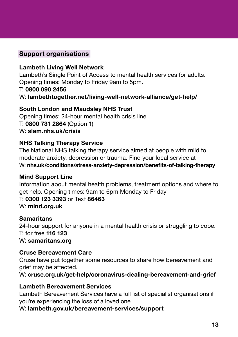# Support organisations

## Lambeth Living Well Network

Lambeth's Single Point of Access to mental health services for adults. Opening times: Monday to Friday 9am to 5pm. T: 0800 090 2456 W: lambethtogether.net/living-well-network-alliance/get-help/

#### South London and Maudsley NHS Trust

Opening times: 24-hour mental health crisis line T: 0800 731 2864 (Option 1) W: slam.nhs.uk/crisis

## NHS Talking Therapy Service

The National NHS talking therapy service aimed at people with mild to moderate anxiety, depression or trauma. Find your local service at W: nhs.uk/conditions/stress-anxiety-depression/benefits-of-talking-therapy

#### Mind Support Line

Information about mental health problems, treatment options and where to get help. Opening times: 9am to 6pm Monday to Friday T: 0300 123 3393 or Text 86463 W: **mind.org.uk** 

#### **Samaritans**

24-hour support for anyone in a mental health crisis or struggling to cope. T: for free 116 123 W: samaritans.org

#### Cruse Bereavement Care

Cruse have put together some resources to share how bereavement and grief may be affected.

W: cruse.org.uk/get-help/coronavirus-dealing-bereavement-and-grief

#### Lambeth Bereavement Services

Lambeth Bereavement Services have a full list of specialist organisations if you're experiencing the loss of a loved one.

W: lambeth.gov.uk/bereavement-services/support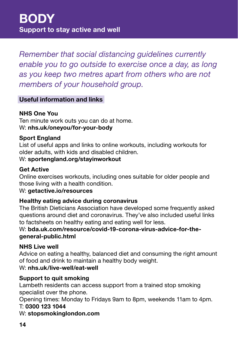*Remember that social distancing guidelines currently enable you to go outside to exercise once a day, as long as you keep two metres apart from others who are not members of your household group.*

# Useful information and links

# NHS One You

Ten minute work outs you can do at home. W: nhs.uk/oneyou/for-your-body

# Sport England

List of useful apps and links to online workouts, including workouts for older adults, with kids and disabled children.

# W: sportengland.org/stayinworkout

# Get Active

Online exercises workouts, including ones suitable for older people and those living with a health condition.

## W: getactive.io/resources

# Healthy eating advice during coronavirus

The British Dieticians Association have developed some frequently asked questions around diet and coronavirus. They've also included useful links to factsheets on healthy eating and eating well for less.

# W: bda.uk.com/resource/covid-19-corona-virus-advice-for-thegeneral-public.html

# NHS Live well

Advice on eating a healthy, balanced diet and consuming the right amount of food and drink to maintain a healthy body weight.

# W: nhs.uk/live-well/eat-well

# Support to quit smoking

Lambeth residents can access support from a trained stop smoking specialist over the phone.

Opening times: Monday to Fridays 9am to 8pm, weekends 11am to 4pm.

## T: 0300 123 1044

W: stopsmokinglondon.com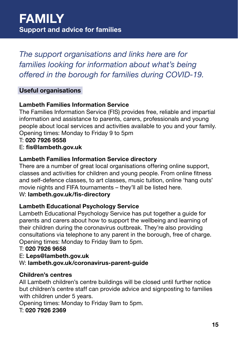*The support organisations and links here are for families looking for information about what's being offered in the borough for families during COVID-19.* 

# Useful organisations

## Lambeth Families Information Service

The Families Information Service (FIS) provides free, reliable and impartial information and assistance to parents, carers, professionals and young people about local services and activities available to you and your family. Opening times: Monday to Friday 9 to 5pm

T: 020 7926 9558

#### E: fis@lambeth.gov.uk

## Lambeth Families Information Service directory

There are a number of great local organisations offering online support, classes and activities for children and young people. From online fitness and self-defence classes, to art classes, music tuition, online 'hang outs' movie nights and FIFA tournaments – they'll all be listed here.

## W: lambeth.gov.uk/fis-directory

#### Lambeth Educational Psychology Service

Lambeth Educational Psychology Service has put together a guide for parents and carers about how to support the wellbeing and learning of their children during the coronavirus outbreak. They're also providing consultations via telephone to any parent in the borough, free of charge. Opening times: Monday to Friday 9am to 5pm.

#### T: 020 7926 9658

#### E: Leps@lambeth.gov.uk

#### W: lambeth.gov.uk/coronavirus-parent-guide

#### Children's centres

All Lambeth children's centre buildings will be closed until further notice but children's centre staff can provide advice and signposting to families with children under 5 years.

Opening times: Monday to Friday 9am to 5pm.

T: 020 7926 2369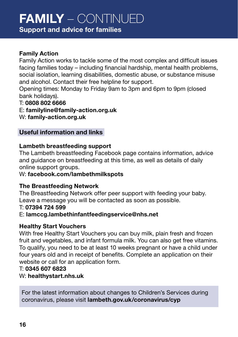# FAMILY – CONTINUED

# Support and advice for families

# Family Action

Family Action works to tackle some of the most complex and difficult issues facing families today – including financial hardship, mental health problems, social isolation, learning disabilities, domestic abuse, or substance misuse and alcohol. Contact their free helpline for support.

Opening times: Monday to Friday 9am to 3pm and 6pm to 9pm (closed bank holidays).

#### T: 0808 802 6666

E: familyline@family-action.org.uk

W: family-action.org.uk

#### Useful information and links

#### Lambeth breastfeeding support

The Lambeth breastfeeding Facebook page contains information, advice and guidance on breastfeeding at this time, as well as details of daily online support groups.

#### W: facebook.com/lambethmilkspots

#### The Breastfeeding Network

The Breastfeeding Network offer peer support with feeding your baby. Leave a message you will be contacted as soon as possible.

#### T: 07394 724 599

#### E: lamccg.lambethinfantfeedingservice@nhs.net

#### Healthy Start Vouchers

With free Healthy Start Vouchers you can buy milk, plain fresh and frozen fruit and vegetables, and infant formula milk. You can also get free vitamins. To qualify, you need to be at least 10 weeks pregnant or have a child under four years old and in receipt of benefits. Complete an application on their website or call for an application form.

#### T: 0345 607 6823

#### W: healthystart.nhs.uk

For the latest information about changes to Children's Services during coronavirus, please visit lambeth.gov.uk/coronavirus/cyp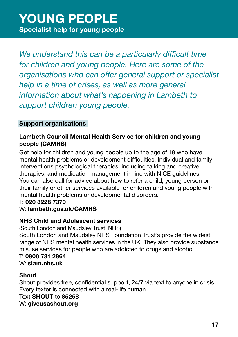*We understand this can be a particularly difficult time for children and young people. Here are some of the organisations who can offer general support or specialist help in a time of crises, as well as more general information about what's happening in Lambeth to support children young people.*

# Support organisations

# Lambeth Council Mental Health Service for children and young people (CAMHS)

Get help for children and young people up to the age of 18 who have mental health problems or development difficulties. Individual and family interventions psychological therapies, including talking and creative therapies, and medication management in line with NICE guidelines. You can also call for advice about how to refer a child, young person or their family or other services available for children and young people with mental health problems or developmental disorders.

# T: 020 3228 7370

## W: lambeth.gov.uk/CAMHS

# NHS Child and Adolescent services

(South London and Maudsley Trust, NHS) South London and Maudsley NHS Foundation Trust's provide the widest range of NHS mental health services in the UK. They also provide substance misuse services for people who are addicted to drugs and alcohol. T: 0800 731 2864

# W: slam.nhs.uk

## Shout

Shout provides free, confidential support, 24/7 via text to anyone in crisis. Every texter is connected with a real-life human. Text SHOUT to 85258 W: giveusashout.org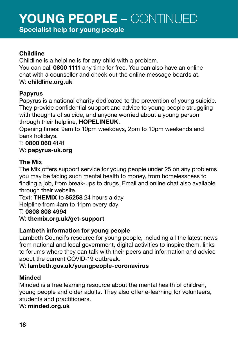# YOUNG PEOPLE – CONTINUED

Specialist help for young people

#### Childline

Childline is a helpline is for any child with a problem.

You can call 0800 1111 any time for free. You can also have an online chat with a counsellor and check out the online message boards at. W: childline.org.uk

# Papyrus

Papyrus is a national charity dedicated to the prevention of young suicide. They provide confidential support and advice to young people struggling with thoughts of suicide, and anyone worried about a young person through their helpline, HOPELINEUK.

Opening times: 9am to 10pm weekdays, 2pm to 10pm weekends and bank holidays.

## T: 0800 068 4141

W: papyrus-uk.org

## The Mix

The Mix offers support service for young people under 25 on any problems you may be facing such mental health to money, from homelessness to finding a job, from break-ups to drugs. Email and online chat also available through their website. The Mix offers support service for young people under<br>you may be facing such mental health to money, from h<br>finding a job, from break-ups to drugs. Email and online<br>through their website.<br>Text: **THEMIX** to 85258 24 hours a

Text: THEMIX to 85258 24 hours a day Helpline from 4am to 11pm every day T: 0808 808 4994  $W:$  themix.org.uk/get-support

# Lambeth information for young people

Lambeth Council's resource for young people, including all the latest news from national and local government, digital activities to inspire them, links to forums where they can talk with their peers and information and advice about the current COVID-19 outbreak.

# W: lambeth.gov.uk/youngpeople-coronavirus

# Minded

Minded is a free learning resource about the mental health of children, young people and older adults. They also offer e-learning for volunteers, students and practitioners.

## W: minded.org.uk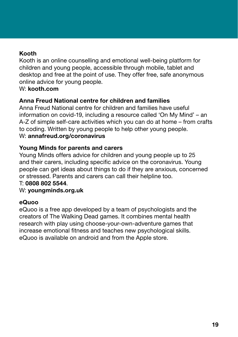# Kooth

Kooth is an online counselling and emotional well-being platform for children and young people, accessible through mobile, tablet and desktop and free at the point of use. They offer free, safe anonymous online advice for young people.

## W: **kooth.com**

# Anna Freud National centre for children and families

Anna Freud National centre for children and families have useful information on covid-19, including a resource called 'On My Mind' – an A-Z of simple self-care activities which you can do at home – from crafts to coding. Written by young people to help other young people. W: annafreud.org/coronavirus

# Young Minds for parents and carers

Young Minds offers advice for children and young people up to 25 and their carers, including specific advice on the coronavirus. Young people can get ideas about things to do if they are anxious, concerned or stressed. Parents and carers can call their helpline too.

## T: 0808 802 5544.

## W: youngminds.org.uk

## eQuoo

eQuoo is a free app developed by a team of psychologists and the creators of The Walking Dead games. It combines mental health research with play using choose-your-own-adventure games that increase emotional fitness and teaches new psychological skills. eQuoo is available on android and from the Apple store.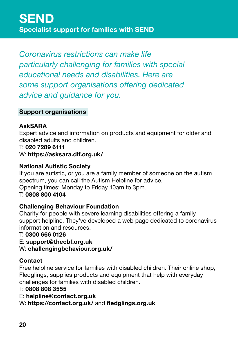*Coronavirus restrictions can make life particularly challenging for families with special educational needs and disabilities. Here are some support organisations offering dedicated advice and guidance for you.*

# Support organisations

# AskSARA

Expert advice and information on products and equipment for older and disabled adults and children.

#### T: 020 7289 6111

https://asksara.dlf.org.uk/ W: https://asksara.dlf.org.uk/

## National Autistic Society

If you are autistic, or you are a family member of someone on the autism spectrum, you can call the Autism Helpline for advice. Opening times: Monday to Friday 10am to 3pm.

T: 0808 800 4104

## Challenging Behaviour Foundation

Charity for people with severe learning disabilities offering a family support helpline. They've developed a web page dedicated to coronavirus information and resources.

#### T: 0300 666 0126

E: support@thecbf.org.uk

W: challengingbehaviour.org.uk/

## **Contact**

Free helpline service for families with disabled children. Their online shop, Fledglings, supplies products and equipment that help with everyday challenges for families with disabled children.

#### T: 0808 808 3555

E: helpline@contact.org.uk

W: https://contact.org.uk/ and fledglings.org.uk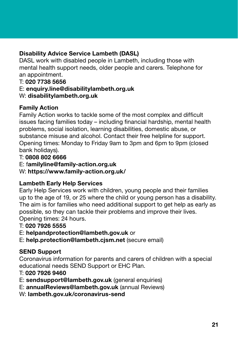# Disability Advice Service Lambeth (DASL)

DASL work with disabled people in Lambeth, including those with mental health support needs, older people and carers. Telephone for for an appointment.

#### T: 020 7738 5656 5656

#### E: enquiry.line@disabilitylambeth.org.uk

### W: disabilitylambeth.org.uk

## Family Action

Family Action works to tackle some of the most complex and difficult issues facing families today – including financial hardship, mental health problems, social isolation, learning disabilities, domestic abuse, or substance misuse and alcohol. Contact their free helpline for support. Opening times: Monday to Friday 9am to 3pm and 6pm to 9pm (closed (closed holidays). bank holidays)

#### T: 0808 802 6666

E: familyline@family-action.org.uk

https://www.family-action.org.uk/ W: https://www.family-action.org.uk/

## Lambeth Early Help Services

Early Help Services work with children, young people and their families up to the age of 19, or 25 where the child or young person has a disability. The aim is for families who need additional support to get help as early as possible, so they can tackle their problems and improve their lives. Opening times: 24 hours hours.

## T: 020 7926 5555

- E: helpandprotection@lambeth.gov.uk or
- E: help.protection@lambeth.cjsm.net (secure email)

## SEND Support

Coronavirus information for parents and carers of children with a special educational needs SEND Support or EHC Plan.

#### T: 020 7926 9460

- E: sendsupport@lambeth.gov.uk (general enquiries)
- E: annualReviews@lambeth.gov.uk (annual Reviews)
- W: lambeth.gov.uk/coronavirus-send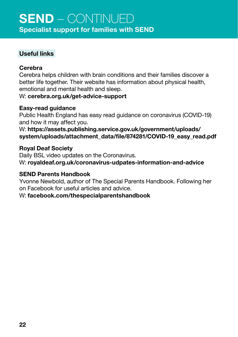# Useful links

## Cerebra

Cerebra helps children with brain conditions and their families discover a better life together. Their website has information about physical health, emotional and mental health and sleep.

W: cerebra.org.uk/get-advice-support

# Easy-read guidance

Public Health England has easy read guidance on coronavirus (COVID-19) and how it may affect you.

W: https://assets.publishing.service.gov.uk/government/uploads/ uploads/attachment\_data/file/874281/COVID-19\_easy\_read.pdf system/uploads/attachment\_data/file/874281/COVID-19\_easy\_read.pdf

## Royal Deaf Society

Daily BSL video updates on the Coronavirus. W: royaldeaf.org.uk/coronavirus-udpates-information-and-advice

## SEND Parents Handbook

Yvonne Newbold, author of The Special Parents Handbook. Following her on Facebook for useful articles and advice.

W: facebook.com/thespecialparentshandbook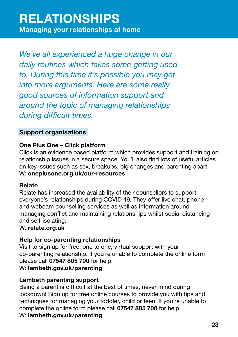*We've all experienced a huge change in our daily routines which takes some getting used to. During this time it's possible you may get into more arguments. Here are some really good sources of information support and around the topic of managing relationships during difficult times.*

# Support organisations

## One Plus One – Click platform

Click is an evidence based platform which provides support and training on relationship issues in a secure space. You'll also find lots of useful articles on key issues such as sex, breakups, big changes and parenting apart. W: oneplusone.org.uk/our-resources

## Relate

Relate has increased the availability of their counsellors to support everyone's relationships during COVID-19. They offer live chat, phone and webcam counselling services as well as information around managing conflict and maintaining relationships whilst social distancing and self-isolating.

#### W: relate.org.uk

## Help for co-parenting relationships

Visit to sign up for free, one to one, virtual support with your co-parenting relationship. If you're unable to complete the online form please call 07547 805 700 for help. W: lambeth.gov.uk/parenting

# Lambeth parenting support

Being a parent is difficult at the best of times, never mind during lockdown! Sign up for free online courses to provide you with tips and techniques for managing your toddler, child or teen. If you're unable to complete the online form please call 07547 805 700 for help.

## W: lambeth.gov.uk/parenting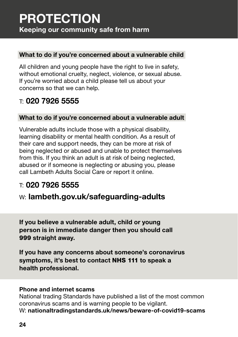# PROTECTION Keeping our community safe from harm

# What to do if you're concerned about a vulnerable child

All children and young people have the right to live in safety. without emotional cruelty, neglect, violence, or sexual abuse. If you're worried about a child please tell us about your concerns so that we can help.

# $T: 020$  7926 5555

# What to do if you're concerned about a vulnerable adult

Vulnerable adults include those with a physical disability, learning disability or mental health condition. As a result of their care and support needs, they can be more at risk of being neglected or abused and unable to protect themselves from this. If you think an adult is at risk of being neglected, abused or if someone is neglecting or abusing you, please call Lambeth Adults Social Care or report it online.

# $T: 020$  7926 5555

# w: lambeth.gov.uk/safeguarding-adults

If you believe a vulnerable adult, child or young person is in immediate danger then you should call 999 straight away.

If you have any concerns about someone's coronavirus symptoms, it's best to contact NHS 111 to speak a health professional.

#### Phone and internet scams

National trading Standards have published a list of the most common coronavirus scams and is warning people to be vigilant. W: nationaltradingstandards.uk/news/beware-of-covid19-scams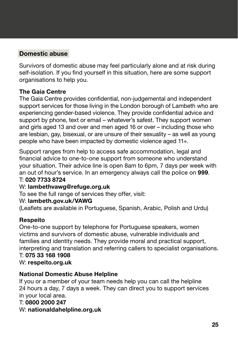# Domestic abuse

Survivors of domestic abuse may feel particularly alone and at risk during self-isolation. If you find yourself in this situation, here are some support organisations to help you.

## The Gaia Centre

The Gaia Centre provides confidential, non-judgemental and independent support services for those living in the London borough of Lambeth who are experiencing gender-based violence. They provide confidential advice and support by phone, text or email – whatever's safest. They support women and girls aged 13 and over and men aged 16 or over – including those who are lesbian, gay, bisexual, or are unsure of their sexuality – as well as young people who have been impacted by domestic violence aged 11+.

Support ranges from help to access safe accommodation, legal and financial advice to one-to-one support from someone who understand your situation. Their advice line is open 8am to 6pm, 7 days per week with an out of hour's service. In an emergency always call the police on 999.

#### T: 020 7733 8724

## W: lambethvawg@refuge.org.uk

To see the full range of services they offer, visit:

#### W: lambeth.gov.uk/VAWG

(Leaflets are available in Portuguese, Spanish, Arabic, Polish and Urdu)

## Respeito

One-to-one support by telephone for Portuguese speakers, women victims and survivors of domestic abuse, vulnerable individuals and families and identity needs. They provide moral and practical support, interpreting and translation and referring callers to specialist organisations.

# T: 075 33 168 1908

#### W: respeito.org.uk

## National Domestic Abuse Helpline

If you or a member of your team needs help you can call the helpline 24 hours a day, 7 days a week. They can direct you to support services your local area. in your local area.

## T: 0800 2000 247 W: nationaldahelpline.org.uk